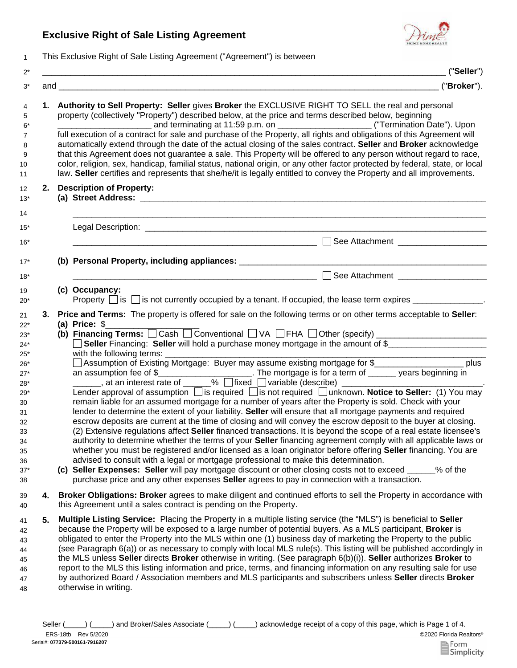## **Exclusive Right of Sale Listing Agreement**



1 This Exclusive Right of Sale Listing Agreement ("Agreement") is between

|    | ("Seller")                                                                                                                                                                                                                                                                                                                                                                                                                                                                                                                                                                                                                                                                                                                                                                                                                                                                                                                                                                                                                                                                                                                                                                                                                                                                                                                                                                                                                                                                                                                                                                            |  |  |
|----|---------------------------------------------------------------------------------------------------------------------------------------------------------------------------------------------------------------------------------------------------------------------------------------------------------------------------------------------------------------------------------------------------------------------------------------------------------------------------------------------------------------------------------------------------------------------------------------------------------------------------------------------------------------------------------------------------------------------------------------------------------------------------------------------------------------------------------------------------------------------------------------------------------------------------------------------------------------------------------------------------------------------------------------------------------------------------------------------------------------------------------------------------------------------------------------------------------------------------------------------------------------------------------------------------------------------------------------------------------------------------------------------------------------------------------------------------------------------------------------------------------------------------------------------------------------------------------------|--|--|
|    | and <u>example and a series of the series of the series of the series of the series of the series of the series of the series of the series of the series of the series of the series of the series of the series of the series </u><br>("Broker").                                                                                                                                                                                                                                                                                                                                                                                                                                                                                                                                                                                                                                                                                                                                                                                                                                                                                                                                                                                                                                                                                                                                                                                                                                                                                                                                   |  |  |
|    | 1. Authority to Sell Property: Seller gives Broker the EXCLUSIVE RIGHT TO SELL the real and personal<br>property (collectively "Property") described below, at the price and terms described below, beginning<br>________________ and terminating at 11:59 p.m. on _______________________("Termination Date"). Upon<br>full execution of a contract for sale and purchase of the Property, all rights and obligations of this Agreement will<br>automatically extend through the date of the actual closing of the sales contract. Seller and Broker acknowledge<br>that this Agreement does not guarantee a sale. This Property will be offered to any person without regard to race,<br>color, religion, sex, handicap, familial status, national origin, or any other factor protected by federal, state, or local<br>law. Seller certifies and represents that she/he/it is legally entitled to convey the Property and all improvements.                                                                                                                                                                                                                                                                                                                                                                                                                                                                                                                                                                                                                                        |  |  |
|    | 2. Description of Property:                                                                                                                                                                                                                                                                                                                                                                                                                                                                                                                                                                                                                                                                                                                                                                                                                                                                                                                                                                                                                                                                                                                                                                                                                                                                                                                                                                                                                                                                                                                                                           |  |  |
|    |                                                                                                                                                                                                                                                                                                                                                                                                                                                                                                                                                                                                                                                                                                                                                                                                                                                                                                                                                                                                                                                                                                                                                                                                                                                                                                                                                                                                                                                                                                                                                                                       |  |  |
|    | <u> 2000 - 2000 - 2000 - 2000 - 2000 - 2000 - 2000 - 2000 - 2000 - 2000 - 2000 - 2000 - 2000 - 2000 - 2000 - 200</u><br>See Attachment __________________                                                                                                                                                                                                                                                                                                                                                                                                                                                                                                                                                                                                                                                                                                                                                                                                                                                                                                                                                                                                                                                                                                                                                                                                                                                                                                                                                                                                                             |  |  |
|    |                                                                                                                                                                                                                                                                                                                                                                                                                                                                                                                                                                                                                                                                                                                                                                                                                                                                                                                                                                                                                                                                                                                                                                                                                                                                                                                                                                                                                                                                                                                                                                                       |  |  |
|    | See Attachment<br><u> 1989 - Johann Barn, mars eta biztanleria (h. 1989).</u>                                                                                                                                                                                                                                                                                                                                                                                                                                                                                                                                                                                                                                                                                                                                                                                                                                                                                                                                                                                                                                                                                                                                                                                                                                                                                                                                                                                                                                                                                                         |  |  |
|    | (c) Occupancy:<br>Property $\Box$ is $\Box$ is not currently occupied by a tenant. If occupied, the lease term expires $\Box$                                                                                                                                                                                                                                                                                                                                                                                                                                                                                                                                                                                                                                                                                                                                                                                                                                                                                                                                                                                                                                                                                                                                                                                                                                                                                                                                                                                                                                                         |  |  |
| 3. | Price and Terms: The property is offered for sale on the following terms or on other terms acceptable to Seller:<br>(a) Price: $$$<br>Seller Financing: Seller will hold a purchase money mortgage in the amount of \$_____________________<br>△ Assumption of Existing Mortgage: Buyer may assume existing mortgage for \$<br>△ Assumption of Existing Mortgage: Buyer may assume existing mortgage for \$<br>an assumption fee of \$<br>Lender approval of assumption $\Box$ is required $\Box$ is not required $\Box$ unknown. <b>Notice to Seller:</b> (1) You may<br>remain liable for an assumed mortgage for a number of years after the Property is sold. Check with your<br>lender to determine the extent of your liability. Seller will ensure that all mortgage payments and required<br>escrow deposits are current at the time of closing and will convey the escrow deposit to the buyer at closing.<br>(2) Extensive regulations affect Seller financed transactions. It is beyond the scope of a real estate licensee's<br>authority to determine whether the terms of your Seller financing agreement comply with all applicable laws or<br>whether you must be registered and/or licensed as a loan originator before offering Seller financing. You are<br>advised to consult with a legal or mortgage professional to make this determination.<br>(c) Seller Expenses: Seller will pay mortgage discount or other closing costs not to exceed<br>% of the<br>purchase price and any other expenses <b>Seller</b> agrees to pay in connection with a transaction. |  |  |
| 4. | Broker Obligations: Broker agrees to make diligent and continued efforts to sell the Property in accordance with<br>this Agreement until a sales contract is pending on the Property.                                                                                                                                                                                                                                                                                                                                                                                                                                                                                                                                                                                                                                                                                                                                                                                                                                                                                                                                                                                                                                                                                                                                                                                                                                                                                                                                                                                                 |  |  |
| 5. | Multiple Listing Service: Placing the Property in a multiple listing service (the "MLS") is beneficial to Seller<br>because the Property will be exposed to a large number of potential buyers. As a MLS participant, <b>Broker</b> is<br>obligated to enter the Property into the MLS within one (1) business day of marketing the Property to the public<br>(see Paragraph 6(a)) or as necessary to comply with local MLS rule(s). This listing will be published accordingly in<br>the MLS unless Seller directs Broker otherwise in writing. (See paragraph 6(b)(i)). Seller authorizes Broker to<br>report to the MLS this listing information and price, terms, and financing information on any resulting sale for use<br>by authorized Board / Association members and MLS participants and subscribers unless Seller directs Broker<br>otherwise in writing.                                                                                                                                                                                                                                                                                                                                                                                                                                                                                                                                                                                                                                                                                                                 |  |  |

©2020 Florida Realtors® ERS-18tb Rev 5/2020 Seller (\_\_\_\_) (\_\_\_\_) and Broker/Sales Associate (\_\_\_\_) (\_\_\_\_) acknowledge receipt of a copy of this page, which is Page 1 of 4.

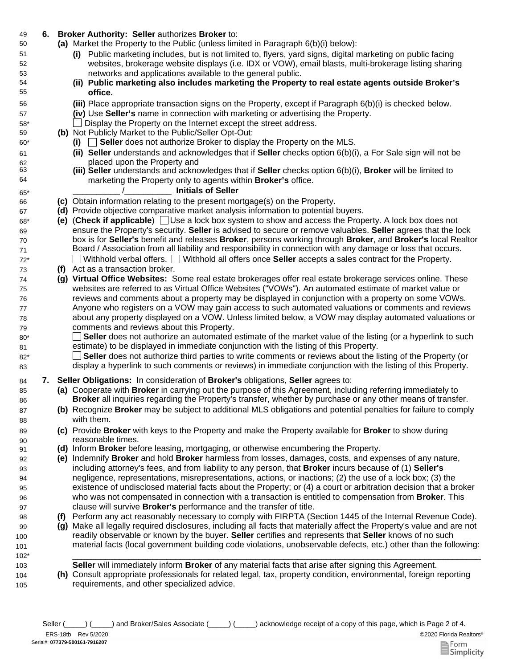## 49 **6. Broker Authority: Seller** authorizes **Broker** to:

- Market the Property to the Public (unless limited in Paragraph 6(b)(i) below): **(a)**
	- **(i)** Public marketing includes, but is not limited to, flyers, yard signs, digital marketing on public facing websites, brokerage website displays (i.e. IDX or VOW), email blasts, multi-brokerage listing sharing networks and applications available to the general public.
	- **(ii) Public marketing also includes marketing the Property to real estate agents outside Broker's office.**
	- Place appropriate transaction signs on the Property, except if Paragraph 6(b)(i) is checked below. **(iii)**
	- **(iv)** Use **Seller's** name in connection with marketing or advertising the Property.
	- \_\_ Display the Property on the Internet except the street address.
- **(b)** Not Publicly Market to the Public/Seller Opt-Out:
	- **(i)** \_\_ **Seller** does not authorize Broker to display the Property on the MLS.
	- **(ii) Seller** understands and acknowledges that if **Seller** checks option 6(b)(i), a For Sale sign will not be placed upon the Property and
	- **(iii) Seller** understands and acknowledges that if **Seller** checks option 6(b)(i), **Broker** will be limited to marketing the Property only to agents within **Broker's** office.

## \_\_\_\_\_\_\_\_\_\_ /\_\_\_\_\_\_\_\_\_\_ **Initials of Seller**

- 66 **(c)** Obtain information relating to the present mortgage(s) on the Property.
- 67 **(d)** Provide objective comparative market analysis information to potential buyers.
- 68\* **(e)** (**Check if applicable**) Use a lock box system to show and access the Property. A lock box does not ensure the Property's security. **Seller** is advised to secure or remove valuables. **Seller** agrees that the lock box is for **Seller's** benefit and releases **Broker**, persons working through **Broker**, and **Broker's** local Realtor Board / Association from all liability and responsibility in connection with any damage or loss that occurs. 72\* Withhold verbal offers. Withhold all offers once **Seller** accepts a sales contract for the Property.
- 73 **(f)** Act as a transaction broker.

69 70 71

50

51 52 53

80\* 81

85 86

87 88

89 90

99 100 101

104 105

- 74 **(g) Virtual Office Websites:** Some real estate brokerages offer real estate brokerage services online. These websites are referred to as Virtual Office Websites ("VOWs"). An automated estimate of market value or reviews and comments about a property may be displayed in conjunction with a property on some VOWs. Anyone who registers on a VOW may gain access to such automated valuations or comments and reviews about any property displayed on a VOW. Unless limited below, a VOW may display automated valuations or comments and reviews about this Property.
	- **Seller** does not authorize an automated estimate of the market value of the listing (or a hyperlink to such  $\mathbf{L}$ estimate) to be displayed in immediate conjunction with the listing of this Property.
- **Seller** does not authorize third parties to write comments or reviews about the listing of the Property (or display a hyperlink to such comments or reviews) in immediate conjunction with the listing of this Property. 82\* 83
- 84 **7. Seller Obligations:** In consideration of **Broker's** obligations, **Seller** agrees to:
	- **(a)** Cooperate with **Broker** in carrying out the purpose of this Agreement, including referring immediately to **Broker** all inquiries regarding the Property's transfer, whether by purchase or any other means of transfer.
	- **(b)** Recognize **Broker** may be subject to additional MLS obligations and potential penalties for failure to comply with them.
	- **(c)** Provide **Broker** with keys to the Property and make the Property available for **Broker** to show during reasonable times.
- 91 **(d)** Inform **Broker** before leasing, mortgaging, or otherwise encumbering the Property.
	- **(e)** Indemnify **Broker** and hold **Broker** harmless from losses, damages, costs, and expenses of any nature, including attorney's fees, and from liability to any person, that **Broker** incurs because of (1) **Seller's**  negligence, representations, misrepresentations, actions, or inactions; (2) the use of a lock box; (3) the existence of undisclosed material facts about the Property; or (4) a court or arbitration decision that a broker who was not compensated in connection with a transaction is entitled to compensation from **Broker**. This clause will survive **Broker's** performance and the transfer of title.
- 98 **(f)** Perform any act reasonably necessary to comply with FIRPTA (Section 1445 of the Internal Revenue Code).
	- **(g)** Make all legally required disclosures, including all facts that materially affect the Property's value and are not readily observable or known by the buyer. **Seller** certifies and represents that **Seller** knows of no such material facts (local government building code violations, unobservable defects, etc.) other than the following:
- 102\* \_\_\_\_\_\_\_\_\_\_\_\_\_\_\_\_\_\_\_\_\_\_\_\_\_\_\_\_\_\_\_\_\_\_\_\_\_\_\_\_\_\_\_\_\_\_\_\_\_\_\_\_\_\_\_\_\_\_\_\_\_\_\_\_\_\_\_\_\_\_\_\_\_\_\_\_\_\_\_\_\_\_\_\_\_\_\_ 103 **Seller** will immediately inform **Broker** of any material facts that arise after signing this Agreement.
	- **(h)** Consult appropriate professionals for related legal, tax, property condition, environmental, foreign reporting requirements, and other specialized advice.

Seller (  $\Box$ ) (
and Broker/Sales Associate (  $\Box$ ) acknowledge receipt of a copy of this page, which is Page 2 of 4.

ERS-18tb Rev 5/2020

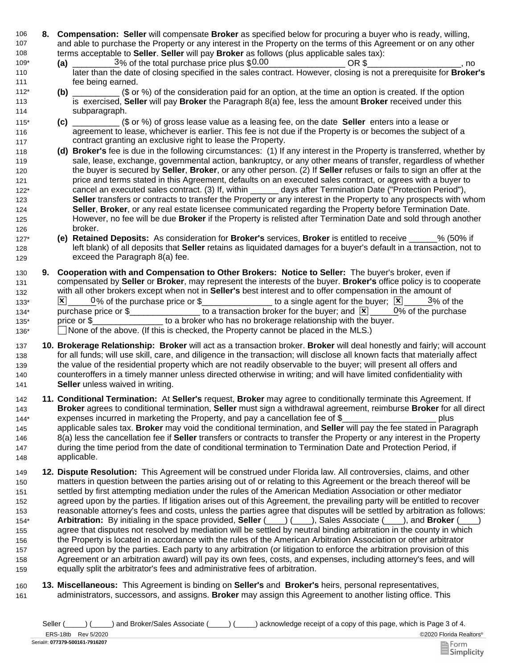- 106 **8. Compensation: Seller** will compensate **Broker** as specified below for procuring a buyer who is ready, willing, 107 108 and able to purchase the Property or any interest in the Property on the terms of this Agreement or on any other terms acceptable to **Seller**. **Seller** will pay **Broker** as follows (plus applicable sales tax):
- $\frac{3}{6}$  of the total purchase price plus  $$0.00$   $OR $$  \_\_\_\_\_\_\_\_\_\_\_\_\_\_\_, no later than the date of closing specified in the sales contract. However, closing is not a prerequisite for **Broker's** fee being earned. 109\* **(a)**  110 111
- **(b)** \_\_\_\_\_\_\_\_\_\_ (\$ or %) of the consideration paid for an option, at the time an option is created. If the option is exercised, **Seller** will pay **Broker** the Paragraph 8(a) fee, less the amount **Broker** received under this subparagraph. 112\* 113 114
- **(c)** \_\_\_\_\_\_\_\_\_\_ (\$ or %) of gross lease value as a leasing fee, on the date **Seller** enters into a lease or agreement to lease, whichever is earlier. This fee is not due if the Property is or becomes the subject of a contract granting an exclusive right to lease the Property. 115\* 116 117
- 118 **(d) Broker's** fee is due in the following circumstances: (1) If any interest in the Property is transferred, whether by 119 120 121 122\* 123 124 125 126 sale, lease, exchange, governmental action, bankruptcy, or any other means of transfer, regardless of whether the buyer is secured by **Seller**, **Broker**, or any other person. (2) If **Seller** refuses or fails to sign an offer at the price and terms stated in this Agreement, defaults on an executed sales contract, or agrees with a buyer to cancel an executed sales contract. (3) If, within \_\_\_\_\_\_ days after Termination Date ("Protection Period"), **Seller** transfers or contracts to transfer the Property or any interest in the Property to any prospects with whom **Seller**, **Broker**, or any real estate licensee communicated regarding the Property before Termination Date. However, no fee will be due **Broker** if the Property is relisted after Termination Date and sold through another broker.
- 127\* **(e) Retained Deposits:** As consideration for **Broker's** services, **Broker** is entitled to receive \_\_\_\_\_\_% (50% if 128 129 left blank) of all deposits that **Seller** retains as liquidated damages for a buyer's default in a transaction, not to exceed the Paragraph 8(a) fee.
- 130 **9.**  131 132  $133^*$   $\times$   $\boxed{\times}$   $0\%$  of the purchase price or \$\_\_\_\_\_\_\_\_\_\_\_\_\_\_\_\_\_ to a single agent for the buyer;  $\boxed{\times}$   $\boxed{\phantom{\times}}$   $3\%$  of the 134\* purchase price or \$\_\_\_\_\_\_\_\_\_\_\_\_\_\_\_\_\_ to a transaction broker for the buyer; and  $\boxed{\mathbf{X}}$  \_\_\_\_\_0% of the purchase 135\* price or \$\_\_\_\_\_\_\_\_\_\_\_\_\_\_\_\_\_ to a broker who has no brokerage relationship with the buyer. 136\* 
None of the above. (If this is checked, the Property cannot be placed in the MLS.) **Cooperation with and Compensation to Other Brokers: Notice to Seller:** The buyer's broker, even if compensated by **Seller** or **Broker**, may represent the interests of the buyer. **Broker's** office policy is to cooperate with all other brokers except when not in **Seller's** best interest and to offer compensation in the amount of  $0\%$  of the purchase
- 137 **10. Brokerage Relationship: Broker** will act as a transaction broker. **Broker** will deal honestly and fairly; will account 138 139 140 141 for all funds; will use skill, care, and diligence in the transaction; will disclose all known facts that materially affect the value of the residential property which are not readily observable to the buyer; will present all offers and counteroffers in a timely manner unless directed otherwise in writing; and will have limited confidentiality with **Seller** unless waived in writing.
- 142 **11. Conditional Termination:** At **Seller's** request, **Broker** may agree to conditionally terminate this Agreement. If 143 144\* **Broker** agrees to conditional termination, **Seller** must sign a withdrawal agreement, reimburse **Broker** for all direct expenses incurred in marketing the Property, and pay a cancellation fee of \$ plus
- 145 146 147 148 applicable sales tax. **Broker** may void the conditional termination, and **Seller** will pay the fee stated in Paragraph 8(a) less the cancellation fee if **Seller** transfers or contracts to transfer the Property or any interest in the Property during the time period from the date of conditional termination to Termination Date and Protection Period, if applicable.
- 149 **12. Dispute Resolution:** This Agreement will be construed under Florida law. All controversies, claims, and other 150 151 152 153 154\* 155 156 157 158 159 matters in question between the parties arising out of or relating to this Agreement or the breach thereof will be settled by first attempting mediation under the rules of the American Mediation Association or other mediator agreed upon by the parties. If litigation arises out of this Agreement, the prevailing party will be entitled to recover reasonable attorney's fees and costs, unless the parties agree that disputes will be settled by arbitration as follows: **Arbitration:** By initialing in the space provided, **Seller** (\_\_\_\_) (\_\_\_\_), Sales Associate (\_\_\_\_), and **Broker** (\_\_\_\_) agree that disputes not resolved by mediation will be settled by neutral binding arbitration in the county in which the Property is located in accordance with the rules of the American Arbitration Association or other arbitrator agreed upon by the parties. Each party to any arbitration (or litigation to enforce the arbitration provision of this Agreement or an arbitration award) will pay its own fees, costs, and expenses, including attorney's fees, and will equally split the arbitrator's fees and administrative fees of arbitration.
- 161 160 **Miscellaneous:** This Agreement is binding on **Seller's** and **Broker's** heirs, personal representatives, **13.**administrators, successors, and assigns. **Broker** may assign this Agreement to another listing office. This